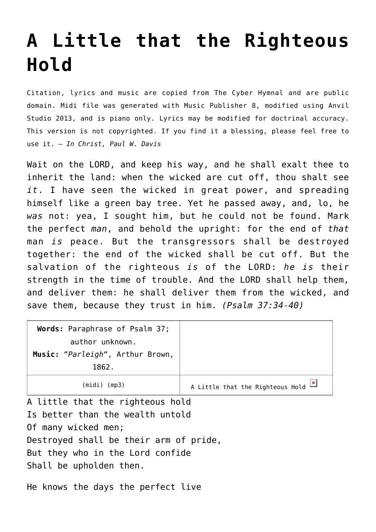## **[A Little that the Righteous](http://reproachofmen.org/hymns-and-music/a-little-that-the-righteous-hold/) [Hold](http://reproachofmen.org/hymns-and-music/a-little-that-the-righteous-hold/)**

Citation, lyrics and music are copied from [The Cyber Hymnal](http://www.hymntime.com/tch/) and are public domain. Midi file was generated with [Music Publisher 8](http://www.braeburn.co.uk/mp.htm), modified using [Anvil](http://www.anvilstudio.com/) [Studio 2013](http://www.anvilstudio.com/), and is piano only. Lyrics may be modified for doctrinal accuracy. This version is not copyrighted. If you find it a blessing, please feel free to use it. — *In Christ, Paul W. Davis*

Wait on the LORD, and keep his way, and he shall exalt thee to inherit the land: when the wicked are cut off, thou shalt see *it*. I have seen the wicked in great power, and spreading himself like a green bay tree. Yet he passed away, and, lo, he *was* not: yea, I sought him, but he could not be found. Mark the perfect *man*, and behold the upright: for the end of *that* man *is* peace. But the transgressors shall be destroyed together: the end of the wicked shall be cut off. But the salvation of the righteous *is* of the LORD: *he is* their strength in the time of trouble. And the LORD shall help them, and deliver them: he shall deliver them from the wicked, and save them, because they trust in him. *(Psalm 37:34-40)*

| Words: Paraphrase of Psalm 37;<br>author unknown.<br>Music: "Parleigh", Arthur Brown,<br>1862.                                        |                                                   |
|---------------------------------------------------------------------------------------------------------------------------------------|---------------------------------------------------|
| $(midi)$ (mp3)                                                                                                                        | A Little that the Righteous Hold $\boxed{\times}$ |
| A little that the righteous hold<br>Is better than the wealth untold<br>Of many wicked men;<br>Destroyed shall be their arm of pride, |                                                   |

But they who in the Lord confide

Shall be upholden then.

He knows the days the perfect live